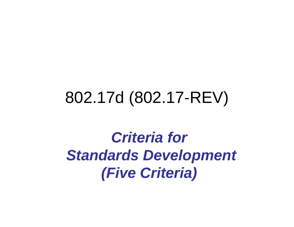## 802.17d (802.17-REV)

*Criteria for Standards Development (Five Criteria)*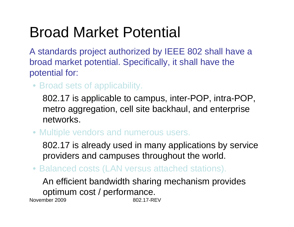## Broad Market Potential

A standards project authorized by IEEE 802 shall have a broad market potential. Specifically, it shall have the potential for:

• Broad sets of applicability.

802.17 is applicable to campus, inter-POP, intra-POP, metro aggregation, cell site backhaul, and enterprise networks.

• Multiple vendors and numerous users.

802.17 is already used in many applications by service providers and campuses throughout the world.

• Balanced costs (LAN versus attached stations).

November 2009 802.17-REVAn efficient bandwidth sharing mechanism provides optimum cost / performance.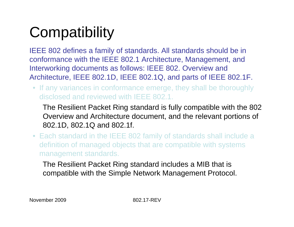# **Compatibility**

IEEE 802 defines a family of standards. All standards should be in conformance with the IEEE 802.1 Architecture, Management, and Interworking documents as follows: IEEE 802. Overview and Architecture, IEEE 802.1D, IEEE 802.1Q, and parts of IEEE 802.1F.

• If any variances in conformance emerge, they shall be thoroughly disclosed and reviewed with IEEE 802.1.

The Resilient Packet Ring standard is fully compatible with the 802 Overview and Architecture document, and the relevant portions of 802.1D, 802.1Q and 802.1f.

• Each standard in the IEEE 802 family of standards shall include a definition of managed objects that are compatible with systems management standards.

The Resilient Packet Ring standard includes a MIB that is compatible with the Simple Network Management Protocol.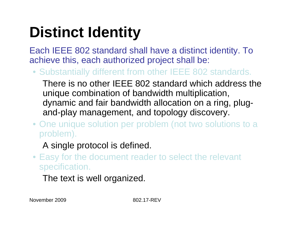# **Distinct Identity**

Each IEEE 802 standard shall have a distinct identity. To achieve this, each authorized project shall be:

• Substantially different from other IEEE 802 standards.

There is no other IEEE 802 standard which address the unique combination of bandwidth multiplication, dynamic and fair bandwidth allocation on a ring, plugand-play management, and topology discovery.

• One unique solution per problem (not two solutions to a problem).

#### A single protocol is defined.

• Easy for the document reader to select the relevant specification.

The text is well organized.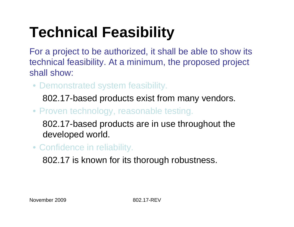# **Technical Feasibility**

For a project to be authorized, it shall be able to show its technical feasibility. At a minimum, the proposed project shall show:

• Demonstrated system feasibility.

802.17-based products exist from many vendors.

• Proven technology, reasonable testing.

802.17-based products are in use throughout the developed world.

• Confidence in reliability.

802.17 is known for its thorough robustness.